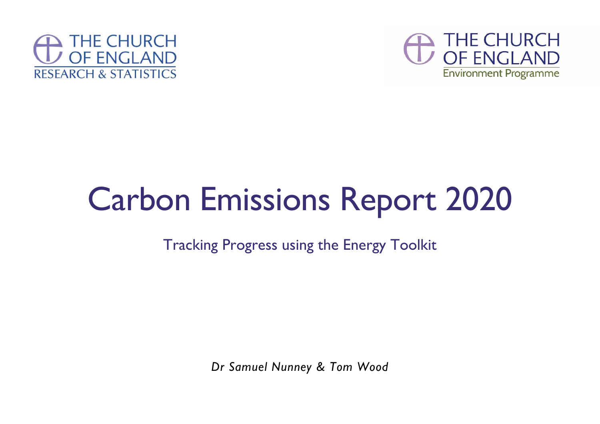



# Carbon Emissions Report 2020

Tracking Progress using the Energy Toolkit

*Dr Samuel Nunney & Tom Wood*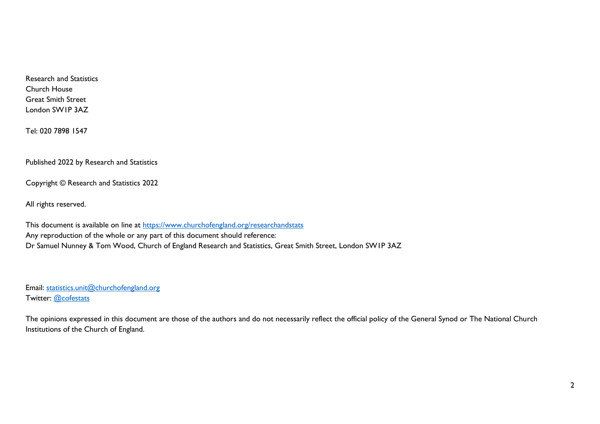Research and Statistics Church House Great Smith Street London SW1P 3AZ

Tel: 020 7898 1547

Published 2022 by Research and Statistics

Copyright © Research and Statistics 2022

All rights reserved.

This document is available on line at<https://www.churchofengland.org/researchandstats> Any reproduction of the whole or any part of this document should reference: Dr Samuel Nunney & Tom Wood, Church of England Research and Statistics, Great Smith Street, London SW1P 3AZ

Email: [statistics.unit@churchofengland.org](mailto:statistics.unit@churchofengland.org) Twitter: [@cofestats](https://twitter.com/cofestats)

The opinions expressed in this document are those of the authors and do not necessarily reflect the official policy of the General Synod or The National Church Institutions of the Church of England.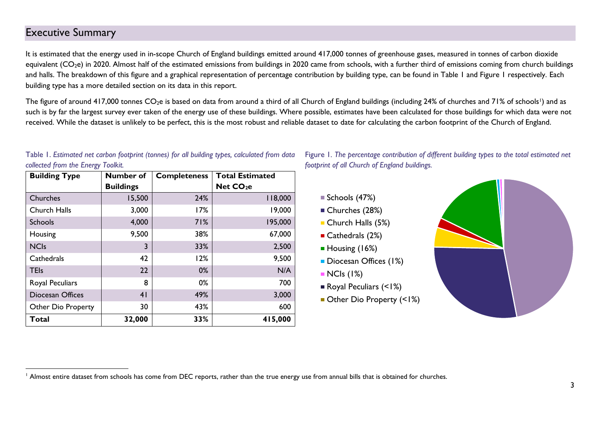### <span id="page-2-0"></span>Executive Summary

It is estimated that the energy used in in-scope Church of England buildings emitted around 417,000 tonnes of greenhouse gases, measured in tonnes of carbon dioxide equivalent ( $CO<sub>2</sub>e$ ) in 2020. Almost half of the estimated emissions from buildings in 2020 came from schools, with a further third of emissions coming from church buildings and halls. The breakdown of this figure and a graphical representation of percentage contribution by building type, can be found in Table 1 and Figure 1 respectively. Each building type has a more detailed section on its data in this report.

The figure of around 417,000 tonnes CO<sub>2</sub>e is based on data from around a third of all Church of England buildings (including 24% of churches and 71% of schools<sup>1</sup>) and as such is by far the largest survey ever taken of the energy use of these buildings. Where possible, estimates have been calculated for those buildings for which data were not received. While the dataset is unlikely to be perfect, this is the most robust and reliable dataset to date for calculating the carbon footprint of the Church of England.

| 97<br><b>Building Type</b> | Number of        | <b>Completeness</b> | <b>Total Estimated</b> |  |  |
|----------------------------|------------------|---------------------|------------------------|--|--|
|                            | <b>Buildings</b> |                     | Net CO <sub>2</sub> e  |  |  |
| Churches                   | 15,500           | 24%                 | 118,000                |  |  |
| Church Halls               | 3,000            | 17%                 | 19,000                 |  |  |
| <b>Schools</b>             | 4,000            | 71%                 | 195,000                |  |  |
| Housing                    | 9,500            | 38%                 | 67,000                 |  |  |
| <b>NCIs</b>                | 3                | 33%                 | 2,500                  |  |  |
| Cathedrals                 | 42               | 12%                 | 9,500                  |  |  |
| <b>TEIs</b>                | 22               | 0%                  | N/A                    |  |  |
| Royal Peculiars            | 8                | 0%                  | 700                    |  |  |
| Diocesan Offices           | 4 <sub>1</sub>   | 49%                 | 3,000                  |  |  |
| <b>Other Dio Property</b>  | 30               | 43%                 | 600                    |  |  |
| <b>Total</b>               | 32,000           | 33%                 | 415,000                |  |  |

#### Table 1. *Estimated net carbon footprint (tonnes) for all building types, calculated from data collected from the Energy Toolkit.*





- Churches (28%)
- Church Halls (5%)
- Cathedrals (2%)
- Housing (16%)
- Diocesan Offices (1%)
- $\blacksquare$  NCIs (1%)
- Royal Peculiars (<1%)
- Other Dio Property (<1%)



<sup>&</sup>lt;sup>1</sup> Almost entire dataset from schools has come from DEC reports, rather than the true energy use from annual bills that is obtained for churches.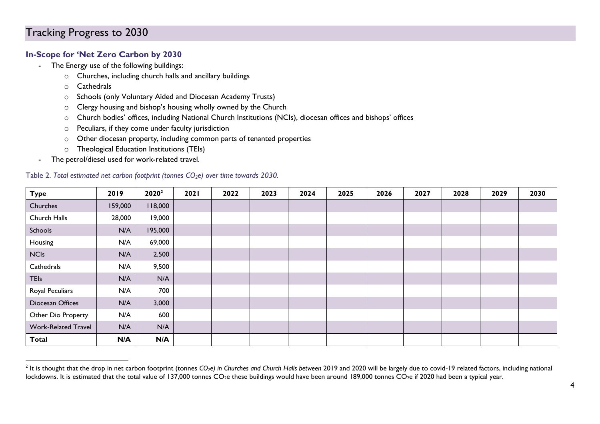#### <span id="page-3-0"></span>**In-Scope for 'Net Zero Carbon by 2030**

- The Energy use of the following buildings:
	- o Churches, including church halls and ancillary buildings
	- o Cathedrals
	- o Schools (only Voluntary Aided and Diocesan Academy Trusts)
	- o Clergy housing and bishop's housing wholly owned by the Church
	- o Church bodies' offices, including National Church Institutions (NCIs), diocesan offices and bishops' offices
	- o Peculiars, if they come under faculty jurisdiction
	- o Other diocesan property, including common parts of tenanted properties
	- o Theological Education Institutions (TEIs)
- The petrol/diesel used for work-related travel.

#### Table 2. *Total estimated net carbon footprint (tonnes CO2e) over time towards 2030.*

| <b>Type</b>                | 2019    | 2020 <sup>2</sup> | 2021 | 2022 | 2023 | 2024 | 2025 | 2026 | 2027 | 2028 | 2029 | 2030 |
|----------------------------|---------|-------------------|------|------|------|------|------|------|------|------|------|------|
| Churches                   | 159,000 | 118,000           |      |      |      |      |      |      |      |      |      |      |
| Church Halls               | 28,000  | 19,000            |      |      |      |      |      |      |      |      |      |      |
| Schools                    | N/A     | 195,000           |      |      |      |      |      |      |      |      |      |      |
| Housing                    | N/A     | 69,000            |      |      |      |      |      |      |      |      |      |      |
| <b>NCIs</b>                | N/A     | 2,500             |      |      |      |      |      |      |      |      |      |      |
| Cathedrals                 | N/A     | 9,500             |      |      |      |      |      |      |      |      |      |      |
| <b>TEIs</b>                | N/A     | N/A               |      |      |      |      |      |      |      |      |      |      |
| Royal Peculiars            | N/A     | 700               |      |      |      |      |      |      |      |      |      |      |
| Diocesan Offices           | N/A     | 3,000             |      |      |      |      |      |      |      |      |      |      |
| Other Dio Property         | N/A     | 600               |      |      |      |      |      |      |      |      |      |      |
| <b>Work-Related Travel</b> | N/A     | N/A               |      |      |      |      |      |      |      |      |      |      |
| <b>Total</b>               | N/A     | N/A               |      |      |      |      |      |      |      |      |      |      |

<sup>2</sup> It is thought that the drop in net carbon footprint (tonnes *CO2e) in Churches and Church Halls between* 2019 and 2020 will be largely due to covid-19 related factors, including national lockdowns. It is estimated that the total value of 137,000 tonnes CO<sub>2</sub>e these buildings would have been around 189,000 tonnes CO<sub>2</sub>e if 2020 had been a typical year.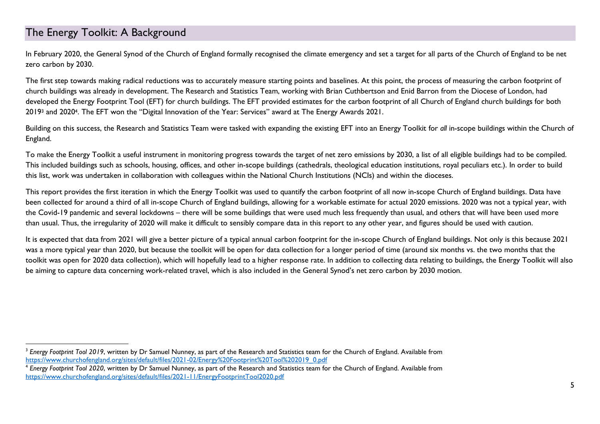## <span id="page-4-0"></span>The Energy Toolkit: A Background

In February 2020, the General Synod of the Church of England formally recognised the climate emergency and set a target for all parts of the Church of England to be net zero carbon by 2030.

The first step towards making radical reductions was to accurately measure starting points and baselines. At this point, the process of measuring the carbon footprint of church buildings was already in development. The Research and Statistics Team, working with Brian Cuthbertson and Enid Barron from the Diocese of London, had developed the Energy Footprint Tool (EFT) for church buildings. The EFT provided estimates for the carbon footprint of all Church of England church buildings for both 2019<sup>3</sup> and 20204. The EFT won the "Digital Innovation of the Year: Services" award at The Energy Awards 2021.

Building on this success, the Research and Statistics Team were tasked with expanding the existing EFT into an Energy Toolkit for *all* in-scope buildings within the Church of England.

To make the Energy Toolkit a useful instrument in monitoring progress towards the target of net zero emissions by 2030, a list of all eligible buildings had to be compiled. This included buildings such as schools, housing, offices, and other in-scope buildings (cathedrals, theological education institutions, royal peculiars etc.). In order to build this list, work was undertaken in collaboration with colleagues within the National Church Institutions (NCIs) and within the dioceses.

This report provides the first iteration in which the Energy Toolkit was used to quantify the carbon footprint of all now in-scope Church of England buildings. Data have been collected for around a third of all in-scope Church of England buildings, allowing for a workable estimate for actual 2020 emissions. 2020 was not a typical year, with the Covid-19 pandemic and several lockdowns – there will be some buildings that were used much less frequently than usual, and others that will have been used more than usual. Thus, the irregularity of 2020 will make it difficult to sensibly compare data in this report to any other year, and figures should be used with caution.

It is expected that data from 2021 will give a better picture of a typical annual carbon footprint for the in-scope Church of England buildings. Not only is this because 2021 was a more typical year than 2020, but because the toolkit will be open for data collection for a longer period of time (around six months vs. the two months that the toolkit was open for 2020 data collection), which will hopefully lead to a higher response rate. In addition to collecting data relating to buildings, the Energy Toolkit will also be aiming to capture data concerning work-related travel, which is also included in the General Synod's net zero carbon by 2030 motion.

<sup>&</sup>lt;sup>3</sup> Energy Footprint Tool 2019, written by Dr Samuel Nunney, as part of the Research and Statistics team for the Church of England. Available from [https://www.churchofengland.org/sites/default/files/2021-02/Energy%20Footprint%20Tool%202019\\_0.pdf](https://www.churchofengland.org/sites/default/files/2021-02/Energy%20Footprint%20Tool%202019_0.pdf)

<sup>4</sup> *Energy Footprint Tool 2020*, written by Dr Samuel Nunney, as part of the Research and Statistics team for the Church of England. Available from <https://www.churchofengland.org/sites/default/files/2021-11/EnergyFootprintTool2020.pdf>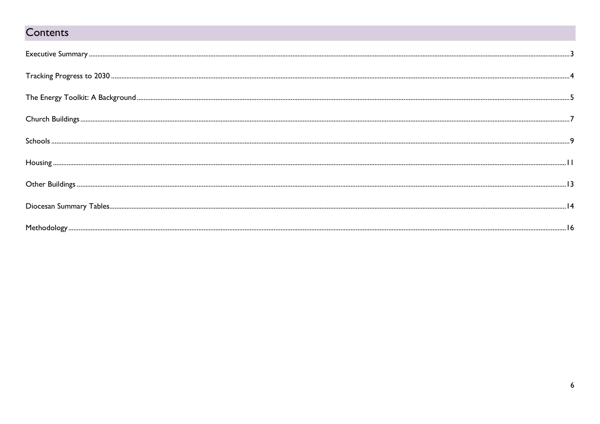# Contents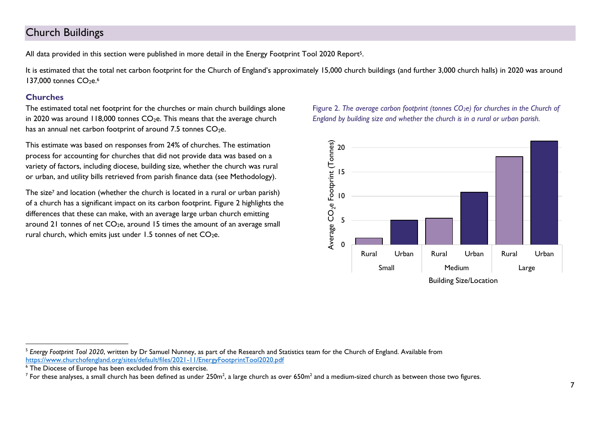## <span id="page-6-0"></span>Church Buildings

All data provided in this section were published in more detail in the Energy Footprint Tool 2020 Report5.

It is estimated that the total net carbon footprint for the Church of England's approximately 15,000 church buildings (and further 3,000 church halls) in 2020 was around 137,000 tonnes  $CO<sub>2</sub>e<sub>6</sub>$ 

#### **Churches**

The estimated total net footprint for the churches or main church buildings alone in 2020 was around 118,000 tonnes  $CO<sub>2</sub>e$ . This means that the average church has an annual net carbon footprint of around 7.5 tonnes  $CO<sub>2</sub>e$ .

This estimate was based on responses from 24% of churches. The estimation process for accounting for churches that did not provide data was based on a variety of factors, including diocese, building size, whether the church was rural or urban, and utility bills retrieved from parish finance data (see Methodology).

The size<sup>7</sup> and location (whether the church is located in a rural or urban parish) of a church has a significant impact on its carbon footprint. Figure 2 highlights the differences that these can make, with an average large urban church emitting around 21 tonnes of net  $CO<sub>2</sub>e$ , around 15 times the amount of an average small rural church, which emits just under  $1.5$  tonnes of net  $CO<sub>2</sub>e$ .

Figure 2. *The average carbon footprint (tonnes CO2e) for churches in the Church of England by building size and whether the church is in a rural or urban parish.*



<sup>5</sup> *Energy Footprint Tool 2020*, written by Dr Samuel Nunney, as part of the Research and Statistics team for the Church of England. Available from <https://www.churchofengland.org/sites/default/files/2021-11/EnergyFootprintTool2020.pdf>

<sup>&</sup>lt;sup>6</sup> The Diocese of Europe has been excluded from this exercise.

 $^7$  For these analyses, a small church has been defined as under 250m $^2$ , a large church as over 650m $^2$  and a medium-sized church as between those two figures.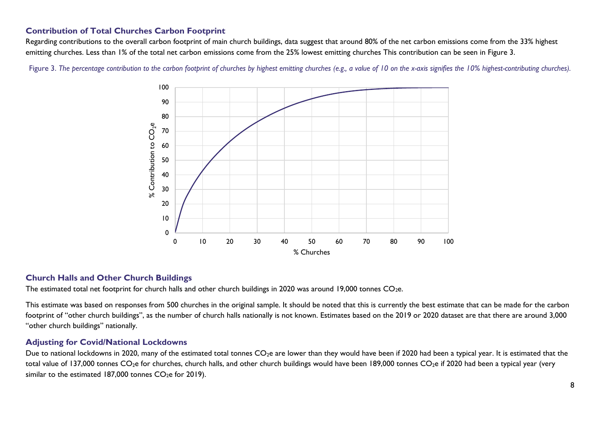#### **Contribution of Total Churches Carbon Footprint**

Regarding contributions to the overall carbon footprint of main church buildings, data suggest that around 80% of the net carbon emissions come from the 33% highest emitting churches. Less than 1% of the total net carbon emissions come from the 25% lowest emitting churches This contribution can be seen in Figure 3.

Figure 3. The bercentage contribution to the carbon footprint of churches by highest emitting churches (e.g., a value of 10 on the x-axis signifies the 10% highest-contributing churches).



#### **Church Halls and Other Church Buildings**

The estimated total net footprint for church halls and other church buildings in 2020 was around 19,000 tonnes  $CO<sub>2</sub>e$ .

This estimate was based on responses from 500 churches in the original sample. It should be noted that this is currently the best estimate that can be made for the carbon footprint of "other church buildings", as the number of church halls nationally is not known. Estimates based on the 2019 or 2020 dataset are that there are around 3,000 "other church buildings" nationally.

#### **Adjusting for Covid/National Lockdowns**

Due to national lockdowns in 2020, many of the estimated total tonnes  $CO<sub>2</sub>e$  are lower than they would have been if 2020 had been a typical year. It is estimated that the total value of 137,000 tonnes  $CO<sub>2</sub>e$  for churches, church halls, and other church buildings would have been 189,000 tonnes  $CO<sub>2</sub>e$  if 2020 had been a typical year (very similar to the estimated 187,000 tonnes  $CO<sub>2</sub>$ e for 2019).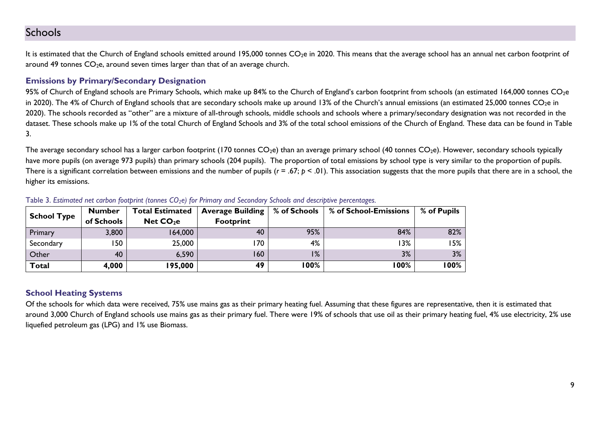## <span id="page-8-0"></span>Schools

It is estimated that the Church of England schools emitted around 195,000 tonnes CO<sub>2</sub>e in 2020. This means that the average school has an annual net carbon footprint of around 49 tonnes  $CO<sub>2</sub>e$ , around seven times larger than that of an average church.

#### **Emissions by Primary/Secondary Designation**

95% of Church of England schools are Primary Schools, which make up 84% to the Church of England's carbon footprint from schools (an estimated 164,000 tonnes CO<sub>2</sub>e in 2020). The 4% of Church of England schools that are secondary schools make up around 13% of the Church's annual emissions (an estimated 25,000 tonnes CO<sub>2</sub>e in 2020). The schools recorded as "other" are a mixture of all-through schools, middle schools and schools where a primary/secondary designation was not recorded in the dataset. These schools make up 1% of the total Church of England Schools and 3% of the total school emissions of the Church of England. These data can be found in Table 3.

The average secondary school has a larger carbon footprint (170 tonnes  $CO<sub>2</sub>e$ ) than an average primary school (40 tonnes  $CO<sub>2</sub>e$ ). However, secondary schools typically have more pupils (on average 973 pupils) than primary schools (204 pupils). The proportion of total emissions by school type is very similar to the proportion of pupils. There is a significant correlation between emissions and the number of pupils ( $r = .67$ ;  $p < .01$ ). This association suggests that the more pupils that there are in a school, the higher its emissions.

| School Type   | <b>Number</b> | <b>Total Estimated</b> | <b>Average Building</b> | % of Schools | % of School-Emissions | % of Pupils |
|---------------|---------------|------------------------|-------------------------|--------------|-----------------------|-------------|
|               | of Schools    | Net CO <sub>2</sub> e  | <b>Footprint</b>        |              |                       |             |
| Primary       | 3,800         | 164,000                | 40                      | 95%          | 84%                   | 82%         |
| Secondary     | 150           | 25,000                 | 170                     | 4%           | 13%                   | 15%         |
| <b>Other</b>  | 40            | 6,590                  | 160                     | 1%           | 3%                    | 3%          |
| $\vert$ Total | 4,000         | 195,000                | 49                      | 100%         | 100%                  | l 00%       |

Table 3. *Estimated net carbon footprint (tonnes CO2e) for Primary and Secondary Schools and descriptive percentages.*

#### **School Heating Systems**

Of the schools for which data were received, 75% use mains gas as their primary heating fuel. Assuming that these figures are representative, then it is estimated that around 3,000 Church of England schools use mains gas as their primary fuel. There were 19% of schools that use oil as their primary heating fuel, 4% use electricity, 2% use liquefied petroleum gas (LPG) and 1% use Biomass.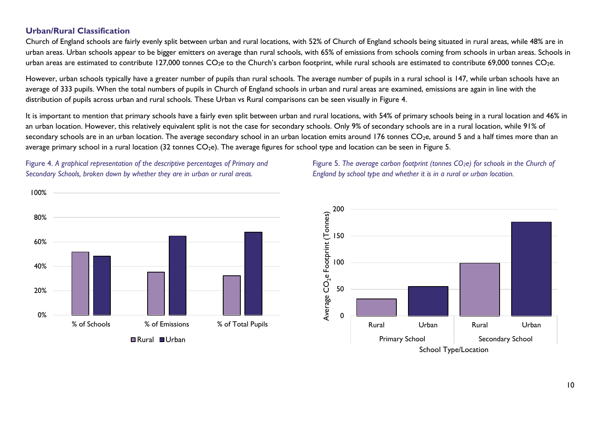#### **Urban/Rural Classification**

Church of England schools are fairly evenly split between urban and rural locations, with 52% of Church of England schools being situated in rural areas, while 48% are in urban areas. Urban schools appear to be bigger emitters on average than rural schools, with 65% of emissions from schools coming from schools in urban areas. Schools in urban areas are estimated to contribute 127,000 tonnes  $CO<sub>2</sub>e$  to the Church's carbon footprint, while rural schools are estimated to contribute 69,000 tonnes  $CO<sub>2</sub>e$ .

However, urban schools typically have a greater number of pupils than rural schools. The average number of pupils in a rural school is 147, while urban schools have an average of 333 pupils. When the total numbers of pupils in Church of England schools in urban and rural areas are examined, emissions are again in line with the distribution of pupils across urban and rural schools. These Urban vs Rural comparisons can be seen visually in Figure 4.

It is important to mention that primary schools have a fairly even split between urban and rural locations, with 54% of primary schools being in a rural location and 46% in an urban location. However, this relatively equivalent split is not the case for secondary schools. Only 9% of secondary schools are in a rural location, while 91% of secondary schools are in an urban location. The average secondary school in an urban location emits around  $176$  tonnes  $CO<sub>2</sub>e$ , around 5 and a half times more than an average primary school in a rural location (32 tonnes  $CO<sub>2</sub>e$ ). The average figures for school type and location can be seen in Figure 5.

Figure 4. *A graphical representation of the descriptive percentages of Primary and Secondary Schools, broken down by whether they are in urban or rural areas.* 





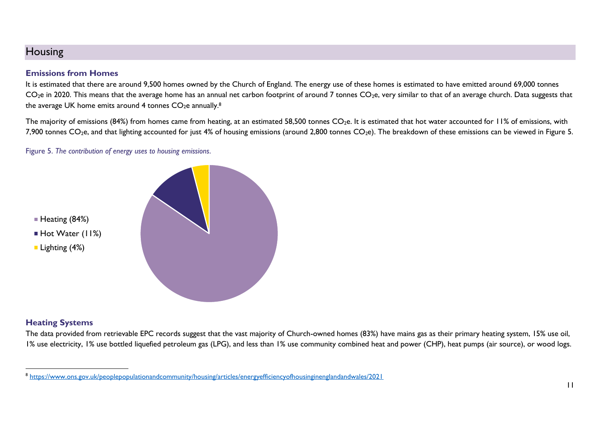## <span id="page-10-0"></span>Housing

#### **Emissions from Homes**

It is estimated that there are around 9,500 homes owned by the Church of England. The energy use of these homes is estimated to have emitted around 69,000 tonnes CO<sub>2</sub>e in 2020. This means that the average home has an annual net carbon footprint of around 7 tonnes CO<sub>2</sub>e, very similar to that of an average church. Data suggests that the average UK home emits around 4 tonnes CO $_2$ e annually. $^8$ 

The majority of emissions (84%) from homes came from heating, at an estimated 58,500 tonnes  $CO<sub>2</sub>e$ . It is estimated that hot water accounted for 11% of emissions, with 7,900 tonnes  $CO<sub>2</sub>e$ , and that lighting accounted for just 4% of housing emissions (around 2,800 tonnes  $CO<sub>2</sub>e$ ). The breakdown of these emissions can be viewed in Figure 5.

Figure 5. *The contribution of energy uses to housing emissions*.



#### **Heating Systems**

The data provided from retrievable EPC records suggest that the vast majority of Church-owned homes (83%) have mains gas as their primary heating system, 15% use oil, 1% use electricity, 1% use bottled liquefied petroleum gas (LPG), and less than 1% use community combined heat and power (CHP), heat pumps (air source), or wood logs.

<sup>&</sup>lt;sup>8</sup> <https://www.ons.gov.uk/peoplepopulationandcommunity/housing/articles/energyefficiencyofhousinginenglandandwales/2021>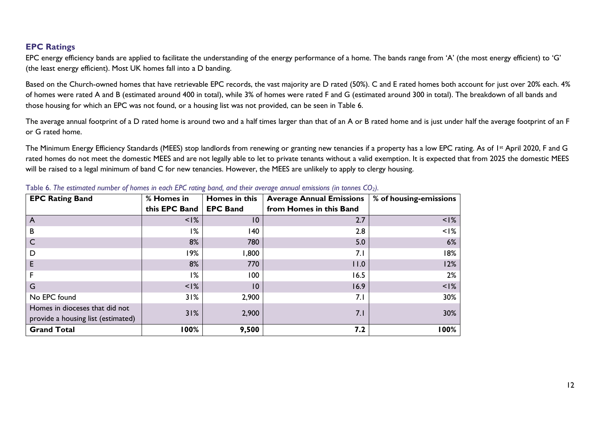#### **EPC Ratings**

EPC energy efficiency bands are applied to facilitate the understanding of the energy performance of a home. The bands range from 'A' (the most energy efficient) to 'G' (the least energy efficient). Most UK homes fall into a D banding.

Based on the Church-owned homes that have retrievable EPC records, the vast majority are D rated (50%). C and E rated homes both account for just over 20% each. 4% of homes were rated A and B (estimated around 400 in total), while 3% of homes were rated F and G (estimated around 300 in total). The breakdown of all bands and those housing for which an EPC was not found, or a housing list was not provided, can be seen in Table 6.

The average annual footprint of a D rated home is around two and a half times larger than that of an A or B rated home and is just under half the average footprint of an F or G rated home.

The Minimum Energy Efficiency Standards (MEES) stop landlords from renewing or granting new tenancies if a property has a low EPC rating. As of 1st April 2020, F and G rated homes do not meet the domestic MEES and are not legally able to let to private tenants without a valid exemption. It is expected that from 2025 the domestic MEES will be raised to a legal minimum of band C for new tenancies. However, the MEES are unlikely to apply to clergy housing.

| <b>EPC Rating Band</b>             | % Homes in    | Homes in this   | <b>Average Annual Emissions</b> | % of housing-emissions |
|------------------------------------|---------------|-----------------|---------------------------------|------------------------|
|                                    | this EPC Band | <b>EPC Band</b> | from Homes in this Band         |                        |
| A                                  | $<$ $1\%$     | $\overline{10}$ | 2.7                             | $\leq$  %              |
| В                                  | 1%            | 140             | 2.8                             | $< 1\%$                |
|                                    | 8%            | 780             | 5.0                             | 6%                     |
| D                                  | 19%           | 1,800           | 7.1                             | 18%                    |
| Е                                  | 8%            | 770             | 11.0                            | 12%                    |
|                                    | 1%            | 100             | 16.5                            | 2%                     |
| G                                  | $<$ $1\%$     | 10              | 16.9                            | $< 1\%$                |
| No EPC found                       | 31%           | 2,900           | 7.1                             | 30%                    |
| Homes in dioceses that did not     | 31%           | 2,900           | 7.1                             | 30%                    |
| provide a housing list (estimated) |               |                 |                                 |                        |
| <b>Grand Total</b>                 | 100%          | 9,500           | 7.2                             | 100%                   |

| Table 6. The estimated number of homes in each EPC rating band, and their average annual emissions (in tonnes $CO_2$ ). |  |  |
|-------------------------------------------------------------------------------------------------------------------------|--|--|
|-------------------------------------------------------------------------------------------------------------------------|--|--|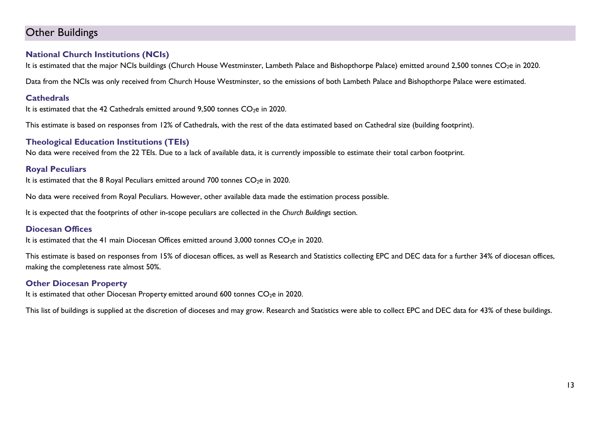## <span id="page-12-0"></span>Other Buildings

#### **National Church Institutions (NCIs)**

It is estimated that the major NCIs buildings (Church House Westminster, Lambeth Palace and Bishopthorpe Palace) emitted around 2,500 tonnes CO<sub>2</sub>e in 2020.

Data from the NCIs was only received from Church House Westminster, so the emissions of both Lambeth Palace and Bishopthorpe Palace were estimated.

#### **Cathedrals**

It is estimated that the 42 Cathedrals emitted around  $9,500$  tonnes  $CO<sub>2</sub>e$  in 2020.

This estimate is based on responses from 12% of Cathedrals, with the rest of the data estimated based on Cathedral size (building footprint).

#### **Theological Education Institutions (TEIs)**

No data were received from the 22 TEIs. Due to a lack of available data, it is currently impossible to estimate their total carbon footprint.

#### **Royal Peculiars**

It is estimated that the 8 Royal Peculiars emitted around 700 tonnes  $CO<sub>2</sub>e$  in 2020.

No data were received from Royal Peculiars. However, other available data made the estimation process possible.

It is expected that the footprints of other in-scope peculiars are collected in the *Church Buildings* section.

#### **Diocesan Offices**

It is estimated that the 41 main Diocesan Offices emitted around 3,000 tonnes  $CO<sub>2</sub>$ e in 2020.

This estimate is based on responses from 15% of diocesan offices, as well as Research and Statistics collecting EPC and DEC data for a further 34% of diocesan offices, making the completeness rate almost 50%.

#### **Other Diocesan Property**

It is estimated that other Diocesan Property emitted around 600 tonnes  $CO<sub>2</sub>e$  in 2020.

This list of buildings is supplied at the discretion of dioceses and may grow. Research and Statistics were able to collect EPC and DEC data for 43% of these buildings.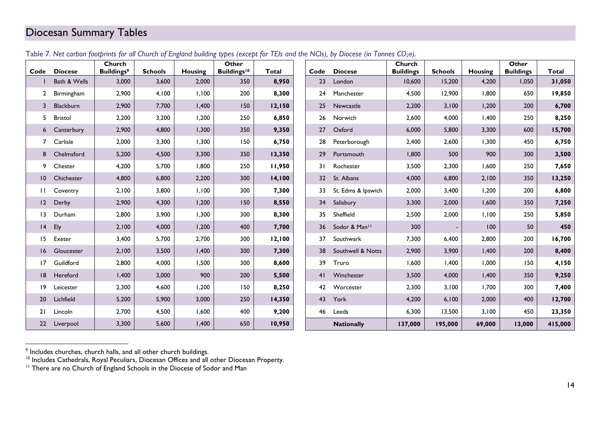## <span id="page-13-0"></span>Diocesan Summary Tables

| Code            | <b>Diocese</b> | Church<br><b>Buildings<sup>9</sup></b> | <b>Schools</b> | <b>Housing</b> | Other<br>Buildings <sup>10</sup> | <b>Total</b> | Code            | <b>Diocese</b>     | Church<br><b>Buildings</b> | <b>Schools</b> | Housing | Other<br><b>Buildings</b> | Total   |
|-----------------|----------------|----------------------------------------|----------------|----------------|----------------------------------|--------------|-----------------|--------------------|----------------------------|----------------|---------|---------------------------|---------|
|                 | Bath & Wells   | 3,000                                  | 3,600          | 2,000          | 350                              | 8,950        | 23              | London             | 10,600                     | 15,200         | 4,200   | 1,050                     | 31,050  |
| $\mathbf{2}$    | Birmingham     | 2,900                                  | 4,100          | 1,100          | 200                              | 8,300        | 24              | Manchester         | 4,500                      | 12,900         | 1,800   | 650                       | 19,850  |
| 3               | Blackburn      | 2,900                                  | 7,700          | 1,400          | 150                              | 12,150       | 25              | Newcastle          | 2,200                      | 3,100          | 1,200   | 200                       | 6,700   |
| 5.              | Bristol        | 2,200                                  | 3,200          | 1,200          | 250                              | 6,850        | 26              | Norwich            | 2,600                      | 4,000          | 1,400   | 250                       | 8,250   |
|                 | 6 Canterbury   | 2,900                                  | 4,800          | 1,300          | 350                              | 9,350        | 27              | Oxford             | 6,000                      | 5,800          | 3,300   | 600                       | 15,700  |
|                 | 7 Carlisle     | 2,000                                  | 3,300          | 1,300          | 150                              | 6,750        | 28              | Peterborough       | 2,400                      | 2,600          | 1,300   | 450                       | 6,750   |
| 8               | Chelmsford     | 5,200                                  | 4,500          | 3,300          | 350                              | 13,350       | 29              | Portsmouth         | 1,800                      | 500            | 900     | 300                       | 3,500   |
| 9.              | Chester        | 4,200                                  | 5,700          | 1,800          | 250                              | 11,950       | 31              | Rochester          | 3,500                      | 2,300          | 1,600   | 250                       | 7,650   |
| $\overline{10}$ | Chichester     | 4,800                                  | 6,800          | 2,200          | 300                              | 14,100       | 32 <sup>2</sup> | St. Albans         | 4,000                      | 6,800          | 2,100   | 350                       | 13,250  |
| H               | Coventry       | 2,100                                  | 3,800          | 1,100          | 300                              | 7,300        | 33              | St. Edms & Ipswich | 2,000                      | 3,400          | 1,200   | 200                       | 6,800   |
| $ 2\rangle$     | Derby          | 2,900                                  | 4,300          | 1,200          | 150                              | 8,550        | 34              | Salisbury          | 3,300                      | 2,000          | 1,600   | 350                       | 7,250   |
| $\overline{13}$ | Durham         | 2,800                                  | 3,900          | 1,300          | 300                              | 8,300        | 35              | Sheffield          | 2,500                      | 2,000          | 1,100   | 250                       | 5,850   |
| $ 4\rangle$     | Ely            | 2,100                                  | 4,000          | 1,200          | 400                              | 7,700        | 36              | Sodor & Man!!      | 300                        |                | 100     | 50                        | 450     |
| 15 <sub>1</sub> | Exeter         | 3,400                                  | 5,700          | 2,700          | 300                              | 12,100       | 37              | Southwark          | 7,300                      | 6,400          | 2,800   | 200                       | 16,700  |
| 16              | Gloucester     | 2,100                                  | 3,500          | 1,400          | 300                              | 7,300        | 38              | Southwell & Notts  | 2,900                      | 3,900          | I,400   | 200                       | 8,400   |
| 17              | Guildford      | 2,800                                  | 4,000          | 1,500          | 300                              | 8,600        | 39              | Truro              | 1,600                      | 1,400          | 1,000   | 150                       | 4,150   |
| 8               | Hereford       | 1,400                                  | 3,000          | 900            | 200                              | 5,500        | 41              | Winchester         | 3,500                      | 4,000          | 1,400   | 350                       | 9,250   |
| $ 9\rangle$     | Leicester      | 2,300                                  | 4,600          | 1,200          | 150                              | 8,250        | 42              | Worcester          | 2,300                      | 3,100          | 1,700   | 300                       | 7,400   |
| 20              | Lichfield      | 5,200                                  | 5,900          | 3,000          | 250                              | 14,350       | 43              | York               | 4,200                      | 6,100          | 2,000   | 400                       | 12,700  |
| 21              | Lincoln        | 2,700                                  | 4,500          | 1,600          | 400                              | 9,200        | 46              | Leeds              | 6,300                      | 13,500         | 3,100   | 450                       | 23,350  |
|                 | 22 Liverpool   | 3,300                                  | 5,600          | 1,400          | 650                              | 10,950       |                 | <b>Nationally</b>  | 137,000                    | 195,000        | 69,000  | 13,000                    | 415,000 |

#### Table 7. *Net carbon footprints for all Church of England building types (except for TEIs and the NCIs), by Diocese (in Tonnes CO2e).*

<sup>&</sup>lt;sup>9</sup> Includes churches, church halls, and all other church buildings.

<sup>&</sup>lt;sup>10</sup> Includes Cathedrals, Royal Peculiars, Diocesan Offices and all other Diocesan Property.

<sup>&</sup>lt;sup>11</sup> There are no Church of England Schools in the Diocese of Sodor and Man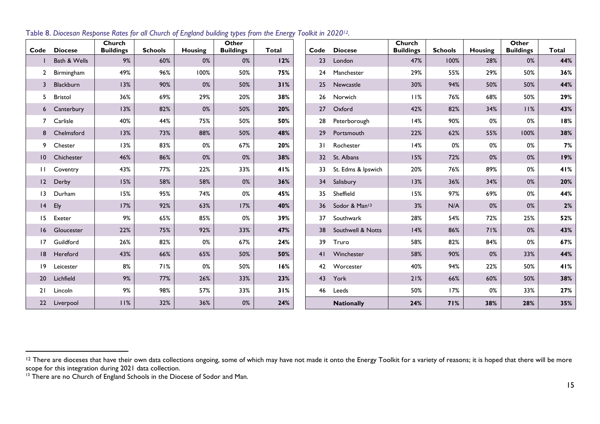| Code            | <b>Diocese</b> | Church<br><b>Buildings</b> | <b>Schools</b> | Housing | Other<br><b>Buildings</b> | <b>Total</b> | Code | <b>Diocese</b>            | Church<br><b>Buildings</b> | <b>Schools</b> | <b>Housing</b> | Other<br><b>Buildings</b> | Total |
|-----------------|----------------|----------------------------|----------------|---------|---------------------------|--------------|------|---------------------------|----------------------------|----------------|----------------|---------------------------|-------|
|                 | Bath & Wells   | 9%                         | 60%            | 0%      | 0%                        | 12%          | 23   | London                    | 47%                        | 100%           | 28%            | 0%                        | 44%   |
| $\mathbf{2}$    | Birmingham     | 49%                        | 96%            | 100%    | 50%                       | 75%          | 24   | Manchester                | 29%                        | 55%            | 29%            | 50%                       | 36%   |
| 3               | Blackburn      | 13%                        | 90%            | $0\%$   | 50%                       | 31%          | 25   | Newcastle                 | 30%                        | 94%            | 50%            | 50%                       | 44%   |
| 5.              | <b>Bristol</b> | 36%                        | 69%            | 29%     | 20%                       | 38%          | 26   | Norwich                   | 11%                        | 76%            | 68%            | 50%                       | 29%   |
|                 | 6 Canterbury   | 13%                        | 82%            | 0%      | 50%                       | 20%          | 27   | Oxford                    | 42%                        | 82%            | 34%            | 11%                       | 43%   |
| $7^{\circ}$     | Carlisle       | 40%                        | 44%            | 75%     | 50%                       | 50%          | 28   | Peterborough              | 14%                        | 90%            | 0%             | 0%                        | 18%   |
| 8               | Chelmsford     | 13%                        | 73%            | 88%     | 50%                       | 48%          | 29   | Portsmouth                | 22%                        | 62%            | 55%            | 100%                      | 38%   |
| 9               | Chester        | 13%                        | 83%            | 0%      | 67%                       | 20%          | 31   | Rochester                 | 14%                        | 0%             | 0%             | 0%                        | 7%    |
| $\overline{10}$ | Chichester     | 46%                        | 86%            | $0\%$   | $0\%$                     | 38%          | 32   | St. Albans                | 15%                        | 72%            | 0%             | 0%                        | 19%   |
| $\mathbf{H}$    | Coventry       | 43%                        | 77%            | 22%     | 33%                       | 41%          | 33   | St. Edms & Ipswich        | 20%                        | 76%            | 89%            | 0%                        | 41%   |
| $ 2\rangle$     | Derby          | 15%                        | 58%            | 58%     | $0\%$                     | 36%          | 34   | Salisbury                 | 13%                        | 36%            | 34%            | 0%                        | 20%   |
| $\overline{13}$ | Durham         | 15%                        | 95%            | 74%     | 0%                        | 45%          | 35   | Sheffield                 | 15%                        | 97%            | 69%            | 0%                        | 44%   |
| 4               | Ely            | 17%                        | 92%            | 63%     | 17%                       | 40%          | 36   | Sodor & Man <sup>13</sup> | 3%                         | N/A            | 0%             | 0%                        | 2%    |
| 15              | Exeter         | 9%                         | 65%            | 85%     | 0%                        | 39%          | 37   | Southwark                 | 28%                        | 54%            | 72%            | 25%                       | 52%   |
| 16              | Gloucester     | 22%                        | 75%            | 92%     | 33%                       | 47%          | 38   | Southwell & Notts         | 14%                        | 86%            | 71%            | 0%                        | 43%   |
| 17              | Guildford      | 26%                        | 82%            | 0%      | 67%                       | 24%          | 39   | Truro                     | 58%                        | 82%            | 84%            | 0%                        | 67%   |
| 8               | Hereford       | 43%                        | 66%            | 65%     | 50%                       | 50%          | 41   | Winchester                | 58%                        | 90%            | 0%             | 33%                       | 44%   |
| 19              | Leicester      | 8%                         | 71%            | 0%      | 50%                       | 16%          | 42   | Worcester                 | 40%                        | 94%            | 22%            | 50%                       | 41%   |
| 20              | Lichfield      | 9%                         | 77%            | 26%     | 33%                       | 23%          | 43   | York                      | 21%                        | 66%            | 60%            | 50%                       | 38%   |
| 21              | Lincoln        | 9%                         | 98%            | 57%     | 33%                       | 31%          | 46   | Leeds                     | 50%                        | 17%            | 0%             | 33%                       | 27%   |
| 22              | Liverpool      | 11%                        | 32%            | 36%     | $0\%$                     | 24%          |      | <b>Nationally</b>         | 24%                        | 71%            | 38%            | 28%                       | 35%   |

Table 8. *Diocesan Response Rates for all Church of England building types from the Energy Toolkit in 202012.*

 There are dioceses that have their own data collections ongoing, some of which may have not made it onto the Energy Toolkit for a variety of reasons; it is hoped that there will be more scope for this integration during 2021 data collection.

<sup>&</sup>lt;sup>13</sup> There are no Church of England Schools in the Diocese of Sodor and Man.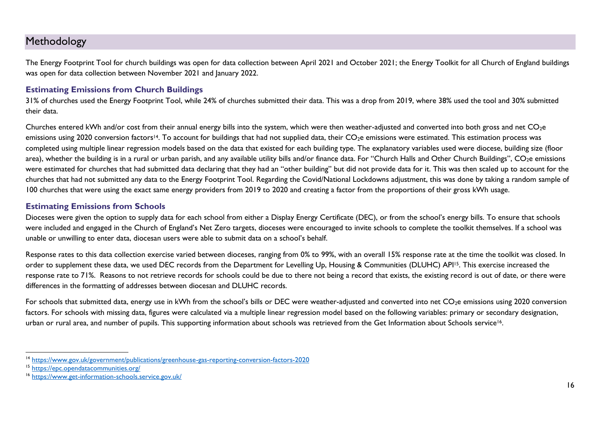## <span id="page-15-0"></span>Methodology

The Energy Footprint Tool for church buildings was open for data collection between April 2021 and October 2021; the Energy Toolkit for all Church of England buildings was open for data collection between November 2021 and January 2022.

#### **Estimating Emissions from Church Buildings**

31% of churches used the Energy Footprint Tool, while 24% of churches submitted their data. This was a drop from 2019, where 38% used the tool and 30% submitted their data.

Churches entered kWh and/or cost from their annual energy bills into the system, which were then weather-adjusted and converted into both gross and net CO<sub>2</sub>e emissions using 2020 conversion factors<sup>14</sup>. To account for buildings that had not supplied data, their CO<sub>2</sub>e emissions were estimated. This estimation process was completed using multiple linear regression models based on the data that existed for each building type. The explanatory variables used were diocese, building size (floor area), whether the building is in a rural or urban parish, and any available utility bills and/or finance data. For "Church Halls and Other Church Buildings", CO<sub>2</sub>e emissions were estimated for churches that had submitted data declaring that they had an "other building" but did not provide data for it. This was then scaled up to account for the churches that had not submitted any data to the Energy Footprint Tool. Regarding the Covid/National Lockdowns adjustment, this was done by taking a random sample of 100 churches that were using the exact same energy providers from 2019 to 2020 and creating a factor from the proportions of their gross kWh usage.

#### **Estimating Emissions from Schools**

Dioceses were given the option to supply data for each school from either a Display Energy Certificate (DEC), or from the school's energy bills. To ensure that schools were included and engaged in the Church of England's Net Zero targets, dioceses were encouraged to invite schools to complete the toolkit themselves. If a school was unable or unwilling to enter data, diocesan users were able to submit data on a school's behalf.

Response rates to this data collection exercise varied between dioceses, ranging from 0% to 99%, with an overall 15% response rate at the time the toolkit was closed. In order to supplement these data, we used DEC records from the Department for Levelling Up, Housing & Communities (DLUHC) API<sup>15</sup>. This exercise increased the response rate to 71%. Reasons to not retrieve records for schools could be due to there not being a record that exists, the existing record is out of date, or there were differences in the formatting of addresses between diocesan and DLUHC records.

For schools that submitted data, energy use in kWh from the school's bills or DEC were weather-adjusted and converted into net CO<sub>2</sub>e emissions using 2020 conversion factors. For schools with missing data, figures were calculated via a multiple linear regression model based on the following variables: primary or secondary designation, urban or rural area, and number of pupils. This supporting information about schools was retrieved from the Get Information about Schools service<sup>16</sup>.

<sup>14</sup> <https://www.gov.uk/government/publications/greenhouse-gas-reporting-conversion-factors-2020>

<sup>15</sup> <https://epc.opendatacommunities.org/>

<sup>16</sup> <https://www.get-information-schools.service.gov.uk/>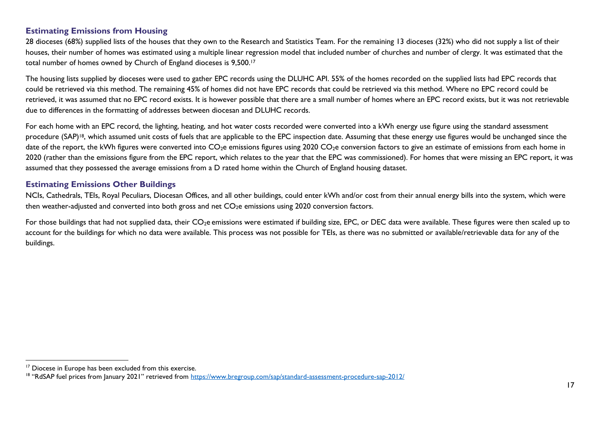#### **Estimating Emissions from Housing**

28 dioceses (68%) supplied lists of the houses that they own to the Research and Statistics Team. For the remaining 13 dioceses (32%) who did not supply a list of their houses, their number of homes was estimated using a multiple linear regression model that included number of churches and number of clergy. It was estimated that the total number of homes owned by Church of England dioceses is 9,500.<sup>17</sup>

The housing lists supplied by dioceses were used to gather EPC records using the DLUHC API. 55% of the homes recorded on the supplied lists had EPC records that could be retrieved via this method. The remaining 45% of homes did not have EPC records that could be retrieved via this method. Where no EPC record could be retrieved, it was assumed that no EPC record exists. It is however possible that there are a small number of homes where an EPC record exists, but it was not retrievable due to differences in the formatting of addresses between diocesan and DLUHC records.

For each home with an EPC record, the lighting, heating, and hot water costs recorded were converted into a kWh energy use figure using the standard assessment procedure (SAP)<sup>18</sup>, which assumed unit costs of fuels that are applicable to the EPC inspection date. Assuming that these energy use figures would be unchanged since the date of the report, the kWh figures were converted into  $CO_2e$  emissions figures using 2020  $CO_2e$  conversion factors to give an estimate of emissions from each home in 2020 (rather than the emissions figure from the EPC report, which relates to the year that the EPC was commissioned). For homes that were missing an EPC report, it was assumed that they possessed the average emissions from a D rated home within the Church of England housing dataset.

#### **Estimating Emissions Other Buildings**

NCIs, Cathedrals, TEIs, Royal Peculiars, Diocesan Offices, and all other buildings, could enter kWh and/or cost from their annual energy bills into the system, which were then weather-adjusted and converted into both gross and net CO<sub>2</sub>e emissions using 2020 conversion factors.

For those buildings that had not supplied data, their CO<sub>2</sub>e emissions were estimated if building size, EPC, or DEC data were available. These figures were then scaled up to account for the buildings for which no data were available. This process was not possible for TEIs, as there was no submitted or available/retrievable data for any of the buildings.

<sup>&</sup>lt;sup>17</sup> Diocese in Europe has been excluded from this exercise.

<sup>&</sup>lt;sup>18</sup> "RdSAP fuel prices from January 2021" retrieved from <https://www.bregroup.com/sap/standard-assessment-procedure-sap-2012/>